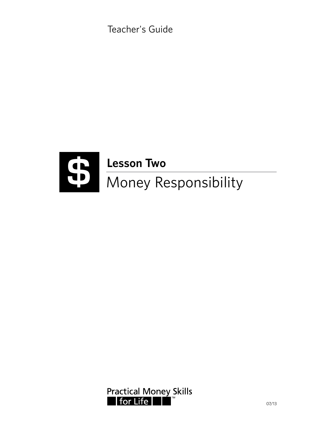Teacher's Guide



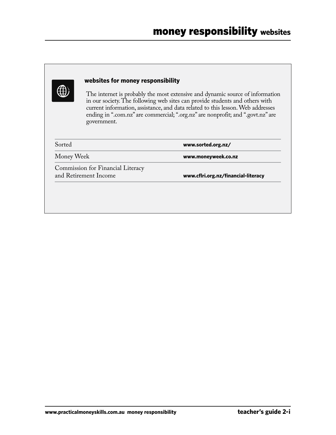|            | government.                                                | The internet is probably the most extensive and dynamic source of information<br>in our society. The following web sites can provide students and others with<br>current information, assistance, and data related to this lesson. Web addresses<br>ending in ".com.nz" are commercial; ".org.nz" are nonprofit; and ".govt.nz" are |
|------------|------------------------------------------------------------|-------------------------------------------------------------------------------------------------------------------------------------------------------------------------------------------------------------------------------------------------------------------------------------------------------------------------------------|
| Sorted     |                                                            | www.sorted.org.nz/                                                                                                                                                                                                                                                                                                                  |
| Money Week |                                                            | www.moneyweek.co.nz                                                                                                                                                                                                                                                                                                                 |
|            | Commission for Financial Literacy<br>and Retirement Income | www.cflri.org.nz/financial-literacy                                                                                                                                                                                                                                                                                                 |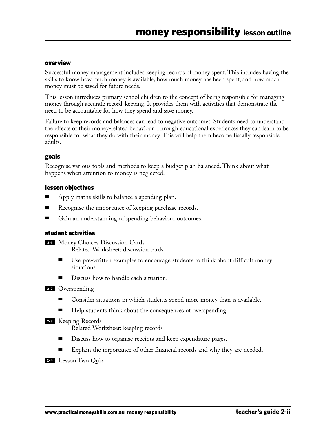#### overview

Successful money management includes keeping records of money spent. This includes having the skills to know how much money is available, how much money has been spent, and how much money must be saved for future needs.

This lesson introduces primary school children to the concept of being responsible for managing money through accurate record-keeping. It provides them with activities that demonstrate the need to be accountable for how they spend and save money.

Failure to keep records and balances can lead to negative outcomes. Students need to understand the effects of their money-related behaviour. Through educational experiences they can learn to be responsible for what they do with their money. This will help them become fiscally responsible adults.

#### goals

Recognise various tools and methods to keep a budget plan balanced. Think about what happens when attention to money is neglected.

#### lesson objectives

- Apply maths skills to balance a spending plan.
- Recognise the importance of keeping purchase records.
- Gain an understanding of spending behaviour outcomes.

#### student activities

- 2-1 Money Choices Discussion Cards Related Worksheet: discussion cards
	- Use pre-written examples to encourage students to think about difficult money situations.
	- Discuss how to handle each situation.

2-2 Overspending

- Consider situations in which students spend more money than is available.
- Help students think about the consequences of overspending.

#### 2-3 Keeping Records

Related Worksheet: keeping records

- Discuss how to organise receipts and keep expenditure pages.
- Explain the importance of other financial records and why they are needed.

#### 2-4 Lesson Two Quiz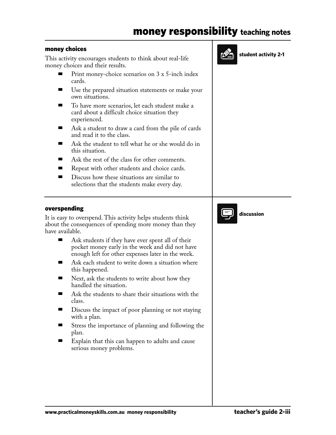## money responsibility **teaching notes**

**student activity 2-1**

#### money choices

This activity encourages students to think about real-life money choices and their results.

- Print money-choice scenarios on 3 x 5-inch index cards.
- Use the prepared situation statements or make your own situations.
- To have more scenarios, let each student make a card about a difficult choice situation they experienced.
- Ask a student to draw a card from the pile of cards and read it to the class.
- Ask the student to tell what he or she would do in this situation.
- Ask the rest of the class for other comments.
- Repeat with other students and choice cards.
- Discuss how these situations are similar to selections that the students make every day.



#### overspending

It is easy to overspend. This activity helps students think about the consequences of spending more money than they have available.

- Ask students if they have ever spent all of their pocket money early in the week and did not have enough left for other expenses later in the week.
- Ask each student to write down a situation where this happened.
- Next, ask the students to write about how they handled the situation.
- Ask the students to share their situations with the class.
- Discuss the impact of poor planning or not staying with a plan.
- Stress the importance of planning and following the plan.
- Explain that this can happen to adults and cause serious money problems.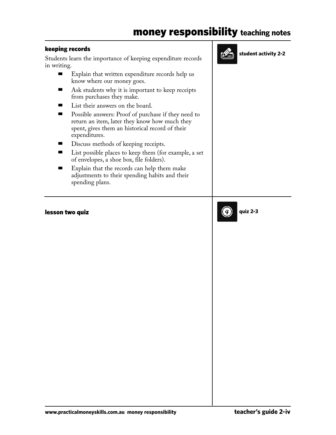# money responsibility **teaching notes**

#### keeping records

Students learn the importance of keeping expenditure records in writing.

- Explain that written expenditure records help us know where our money goes.
- Ask students why it is important to keep receipts from purchases they make.
- List their answers on the board.
- Possible answers: Proof of purchase if they need to return an item, later they know how much they spent, gives them an historical record of their expenditures.
- Discuss methods of keeping receipts.
- List possible places to keep them (for example, a set of envelopes, a shoe box, file folders).
- Explain that the records can help them make adjustments to their spending habits and their spending plans.

#### lesson two quiz



**student activity 2-2**



```
www.practicalmoneyskills.com.au money responsibility teacher's guide 2-iv
```